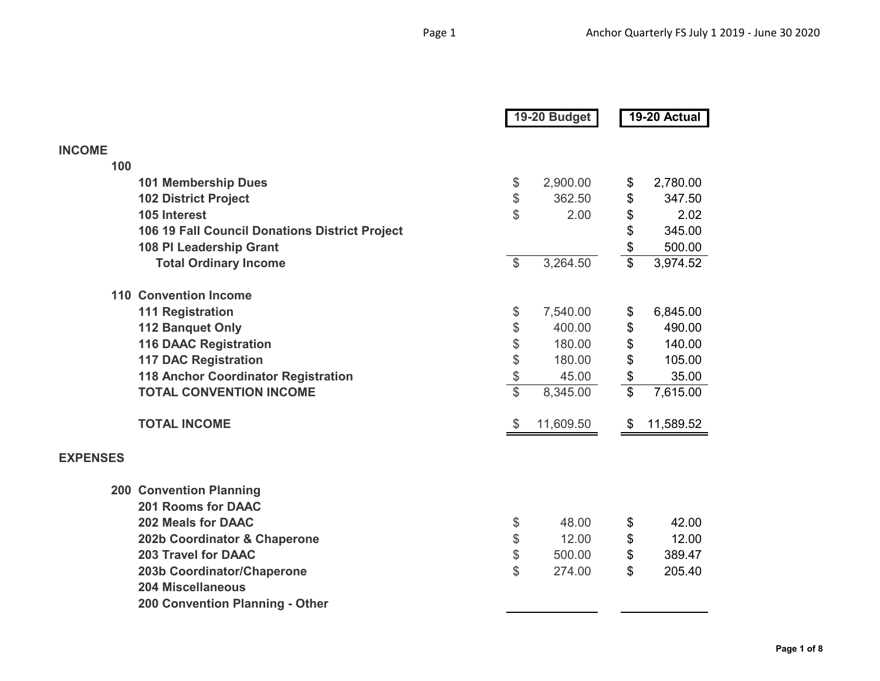|                 |                                                |                         | 19-20 Budget |                          | 19-20 Actual |
|-----------------|------------------------------------------------|-------------------------|--------------|--------------------------|--------------|
| <b>INCOME</b>   |                                                |                         |              |                          |              |
| 100             |                                                |                         |              |                          |              |
|                 | <b>101 Membership Dues</b>                     | \$                      | 2,900.00     | \$                       | 2,780.00     |
|                 | <b>102 District Project</b>                    | \$                      | 362.50       | \$                       | 347.50       |
|                 | 105 Interest                                   | \$                      | 2.00         | \$                       | 2.02         |
|                 | 106 19 Fall Council Donations District Project |                         |              | \$                       | 345.00       |
|                 | 108 PI Leadership Grant                        |                         |              | \$                       | 500.00       |
|                 | <b>Total Ordinary Income</b>                   | $\mathcal{S}$           | 3,264.50     | $\overline{\mathbb{S}}$  | 3,974.52     |
|                 | <b>110 Convention Income</b>                   |                         |              |                          |              |
|                 | <b>111 Registration</b>                        | \$                      | 7,540.00     | \$                       | 6,845.00     |
|                 | <b>112 Banquet Only</b>                        | \$                      | 400.00       | \$                       | 490.00       |
|                 | <b>116 DAAC Registration</b>                   | \$                      | 180.00       | \$                       | 140.00       |
|                 | <b>117 DAC Registration</b>                    |                         | 180.00       | \$                       | 105.00       |
|                 | 118 Anchor Coordinator Registration            | \$<br>\$                | 45.00        | \$                       | 35.00        |
|                 | <b>TOTAL CONVENTION INCOME</b>                 | $\overline{\mathbb{S}}$ | 8,345.00     | $\overline{\mathcal{S}}$ | 7,615.00     |
|                 | <b>TOTAL INCOME</b>                            | $\$\$                   | 11,609.50    | \$                       | 11,589.52    |
| <b>EXPENSES</b> |                                                |                         |              |                          |              |
|                 | <b>200 Convention Planning</b>                 |                         |              |                          |              |
|                 | <b>201 Rooms for DAAC</b>                      |                         |              |                          |              |
|                 | <b>202 Meals for DAAC</b>                      | \$                      | 48.00        | \$                       | 42.00        |
|                 | 202b Coordinator & Chaperone                   | \$                      | 12.00        | \$                       | 12.00        |
|                 | <b>203 Travel for DAAC</b>                     | \$                      | 500.00       | \$                       | 389.47       |
|                 | 203b Coordinator/Chaperone                     | \$                      | 274.00       | \$                       | 205.40       |
|                 | <b>204 Miscellaneous</b>                       |                         |              |                          |              |
|                 | 200 Convention Planning - Other                |                         |              |                          |              |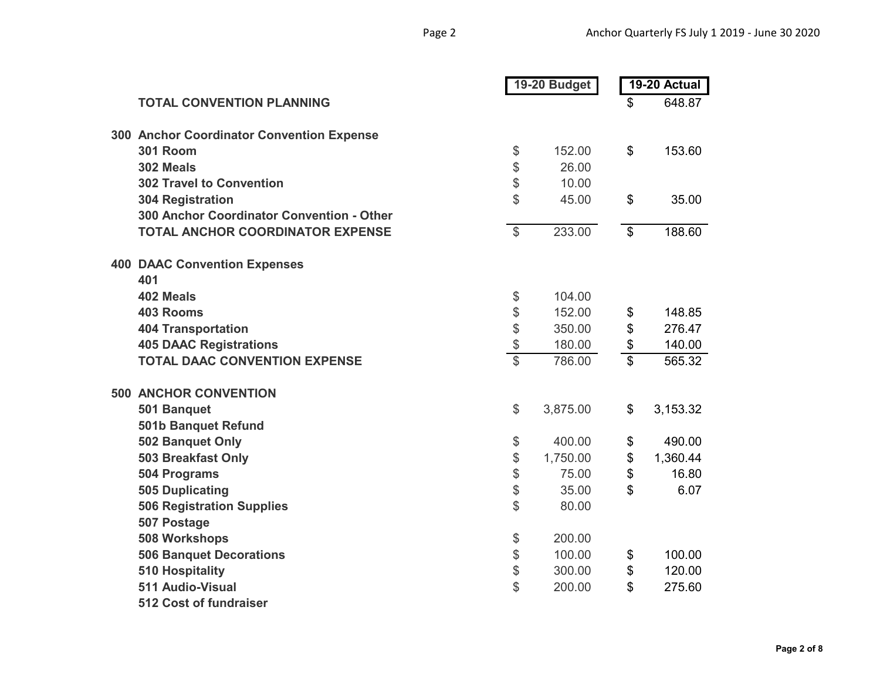|  |                                           | 19-20 Budget              |          | 19-20 Actual               |          |
|--|-------------------------------------------|---------------------------|----------|----------------------------|----------|
|  | <b>TOTAL CONVENTION PLANNING</b>          |                           |          | \$                         | 648.87   |
|  | 300 Anchor Coordinator Convention Expense |                           |          |                            |          |
|  | <b>301 Room</b>                           | \$                        | 152.00   | \$                         | 153.60   |
|  | 302 Meals                                 | \$                        | 26.00    |                            |          |
|  | <b>302 Travel to Convention</b>           | \$                        | 10.00    |                            |          |
|  | <b>304 Registration</b>                   | \$                        | 45.00    | \$                         | 35.00    |
|  | 300 Anchor Coordinator Convention - Other |                           |          |                            |          |
|  | <b>TOTAL ANCHOR COORDINATOR EXPENSE</b>   | $\boldsymbol{\mathsf{S}}$ | 233.00   | $\boldsymbol{\mathsf{\$}}$ | 188.60   |
|  | <b>400 DAAC Convention Expenses</b>       |                           |          |                            |          |
|  | 401                                       |                           |          |                            |          |
|  | 402 Meals                                 | \$                        | 104.00   |                            |          |
|  | <b>403 Rooms</b>                          | \$                        | 152.00   | \$                         | 148.85   |
|  | <b>404 Transportation</b>                 | \$                        | 350.00   | \$                         | 276.47   |
|  | <b>405 DAAC Registrations</b>             | \$                        | 180.00   | \$                         | 140.00   |
|  | <b>TOTAL DAAC CONVENTION EXPENSE</b>      | $\overline{\mathcal{C}}$  | 786.00   | $\overline{\mathcal{S}}$   | 565.32   |
|  | <b>500 ANCHOR CONVENTION</b>              |                           |          |                            |          |
|  | 501 Banquet                               | \$                        | 3,875.00 | \$                         | 3,153.32 |
|  | 501b Banquet Refund                       |                           |          |                            |          |
|  | 502 Banquet Only                          | \$                        | 400.00   | \$                         | 490.00   |
|  | 503 Breakfast Only                        | \$                        | 1,750.00 | \$                         | 1,360.44 |
|  | 504 Programs                              | \$                        | 75.00    | \$                         | 16.80    |
|  | 505 Duplicating                           | \$                        | 35.00    | \$                         | 6.07     |
|  | <b>506 Registration Supplies</b>          | \$                        | 80.00    |                            |          |
|  | 507 Postage                               |                           |          |                            |          |
|  | 508 Workshops                             | \$                        | 200.00   |                            |          |
|  | <b>506 Banquet Decorations</b>            | \$                        | 100.00   | \$                         | 100.00   |
|  | <b>510 Hospitality</b>                    | \$                        | 300.00   | \$                         | 120.00   |
|  | 511 Audio-Visual                          | \$                        | 200.00   | \$                         | 275.60   |
|  | 512 Cost of fundraiser                    |                           |          |                            |          |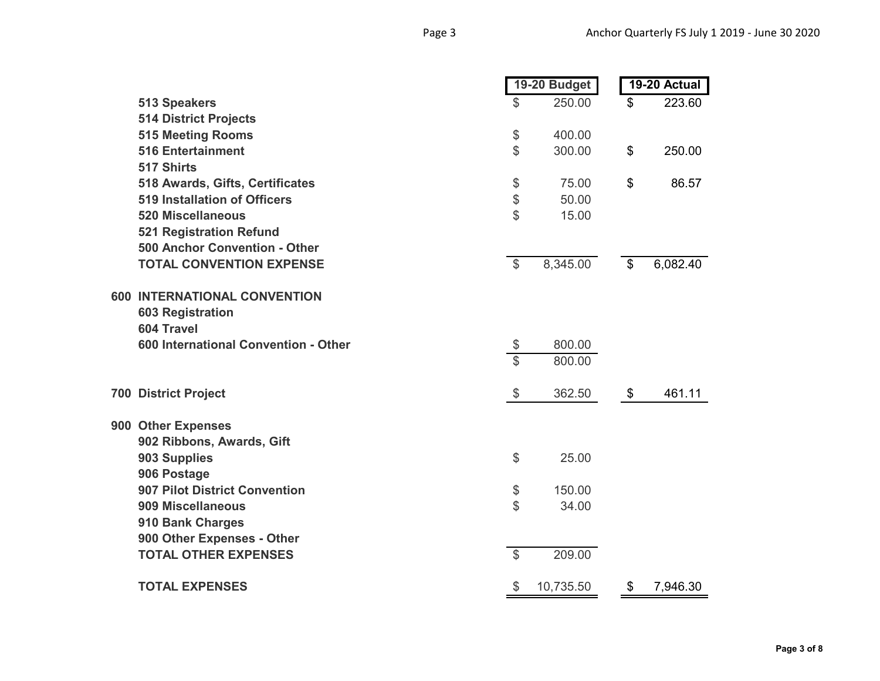|                                      |                          | 19-20 Budget |                | 19-20 Actual |  |  |
|--------------------------------------|--------------------------|--------------|----------------|--------------|--|--|
| <b>513 Speakers</b>                  | $\mathbb S$              | 250.00       | \$             | 223.60       |  |  |
| <b>514 District Projects</b>         |                          |              |                |              |  |  |
| <b>515 Meeting Rooms</b>             | \$                       | 400.00       |                |              |  |  |
| <b>516 Entertainment</b>             | $\mathfrak{S}$           | 300.00       | \$             | 250.00       |  |  |
| 517 Shirts                           |                          |              |                |              |  |  |
| 518 Awards, Gifts, Certificates      | \$                       | 75.00        | \$             | 86.57        |  |  |
| <b>519 Installation of Officers</b>  | \$                       | 50.00        |                |              |  |  |
| <b>520 Miscellaneous</b>             | \$                       | 15.00        |                |              |  |  |
| <b>521 Registration Refund</b>       |                          |              |                |              |  |  |
| 500 Anchor Convention - Other        |                          |              |                |              |  |  |
| <b>TOTAL CONVENTION EXPENSE</b>      | $\overline{\mathcal{S}}$ | 8,345.00     | $\mathfrak{L}$ | 6,082.40     |  |  |
| <b>600 INTERNATIONAL CONVENTION</b>  |                          |              |                |              |  |  |
| <b>603 Registration</b>              |                          |              |                |              |  |  |
| 604 Travel                           |                          |              |                |              |  |  |
| 600 International Convention - Other | \$                       | 800.00       |                |              |  |  |
|                                      | $\overline{\mathbb{S}}$  | 800.00       |                |              |  |  |
| <b>700 District Project</b>          | \$                       | 362.50       | \$             | 461.11       |  |  |
| 900 Other Expenses                   |                          |              |                |              |  |  |
| 902 Ribbons, Awards, Gift            |                          |              |                |              |  |  |
| 903 Supplies                         | \$                       | 25.00        |                |              |  |  |
| 906 Postage                          |                          |              |                |              |  |  |
| 907 Pilot District Convention        | \$                       | 150.00       |                |              |  |  |
| 909 Miscellaneous                    | $\mathfrak{S}$           | 34.00        |                |              |  |  |
| 910 Bank Charges                     |                          |              |                |              |  |  |
| 900 Other Expenses - Other           |                          |              |                |              |  |  |
| <b>TOTAL OTHER EXPENSES</b>          | $\overline{\mathcal{S}}$ | 209.00       |                |              |  |  |
| <b>TOTAL EXPENSES</b>                | \$                       | 10,735.50    | \$             | 7,946.30     |  |  |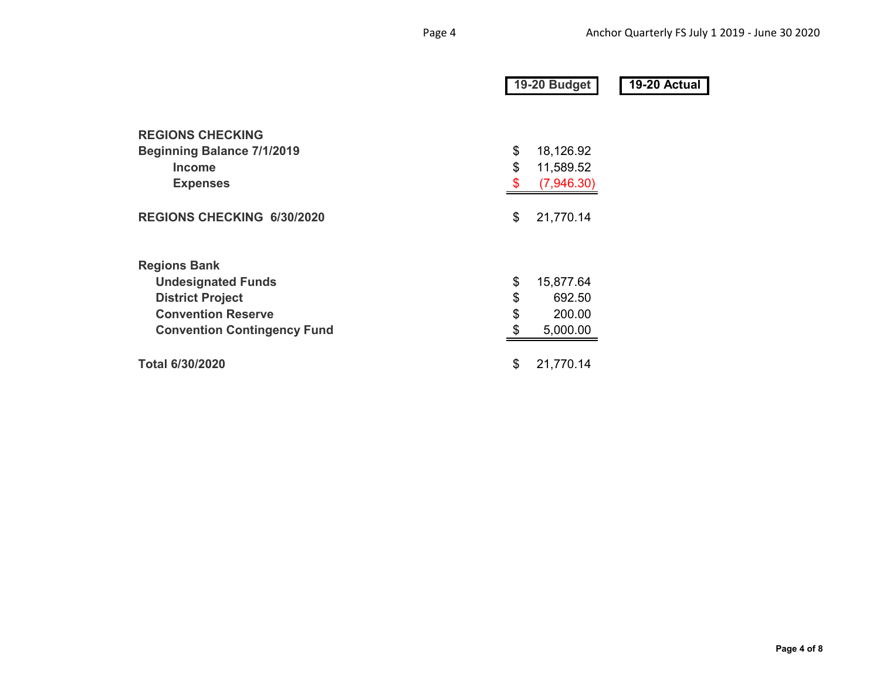|                                    | 19-20 Budget |            | 19-20 Actual |  |
|------------------------------------|--------------|------------|--------------|--|
| <b>REGIONS CHECKING</b>            |              |            |              |  |
| <b>Beginning Balance 7/1/2019</b>  | \$           | 18,126.92  |              |  |
| <b>Income</b>                      | \$           | 11,589.52  |              |  |
| <b>Expenses</b>                    | \$           | (7,946.30) |              |  |
| <b>REGIONS CHECKING 6/30/2020</b>  | \$           | 21,770.14  |              |  |
| <b>Regions Bank</b>                |              |            |              |  |
| <b>Undesignated Funds</b>          | \$           | 15,877.64  |              |  |
| <b>District Project</b>            | \$           | 692.50     |              |  |
| <b>Convention Reserve</b>          | \$           | 200.00     |              |  |
| <b>Convention Contingency Fund</b> | \$           | 5,000.00   |              |  |
| <b>Total 6/30/2020</b>             | \$           | 21,770.14  |              |  |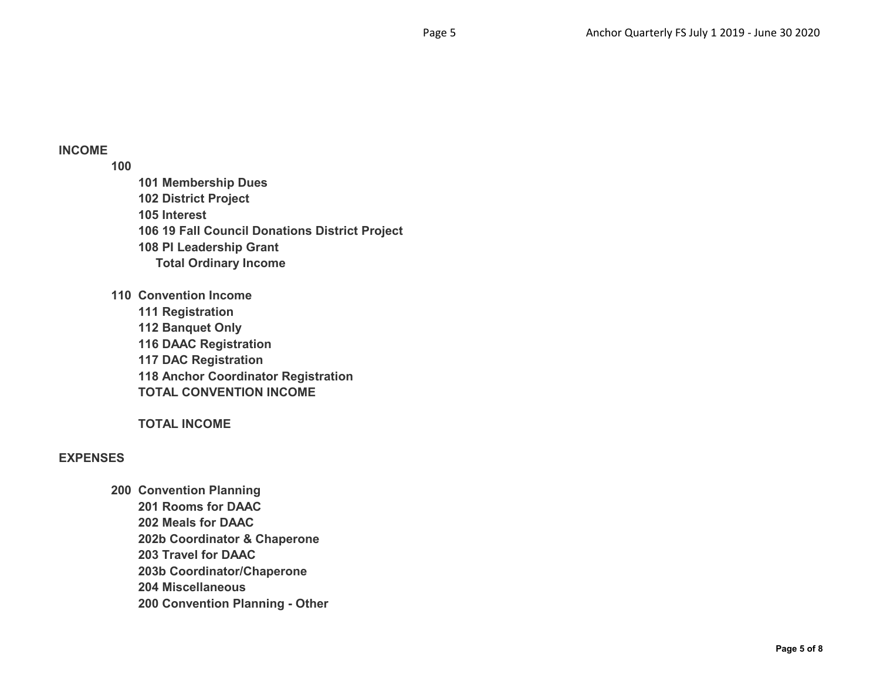# **INCOME**

**100**

**101 Membership Dues 102 District Project 105 Interest 106 19 Fall Council Donations District Project 108 PI Leadership Grant Total Ordinary Income**

**110 Convention Income 111 Registration 112 Banquet Only 116 DAAC Registration 117 DAC Registration**

**118 Anchor Coordinator Registration TOTAL CONVENTION INCOME**

**TOTAL INCOME**

## **EXPENSES**

**200 Convention Planning 201 Rooms for DAAC 202 Meals for DAAC 202b Coordinator & Chaperone 203 Travel for DAAC 203b Coordinator/Chaperone 204 Miscellaneous 200 Convention Planning - Other**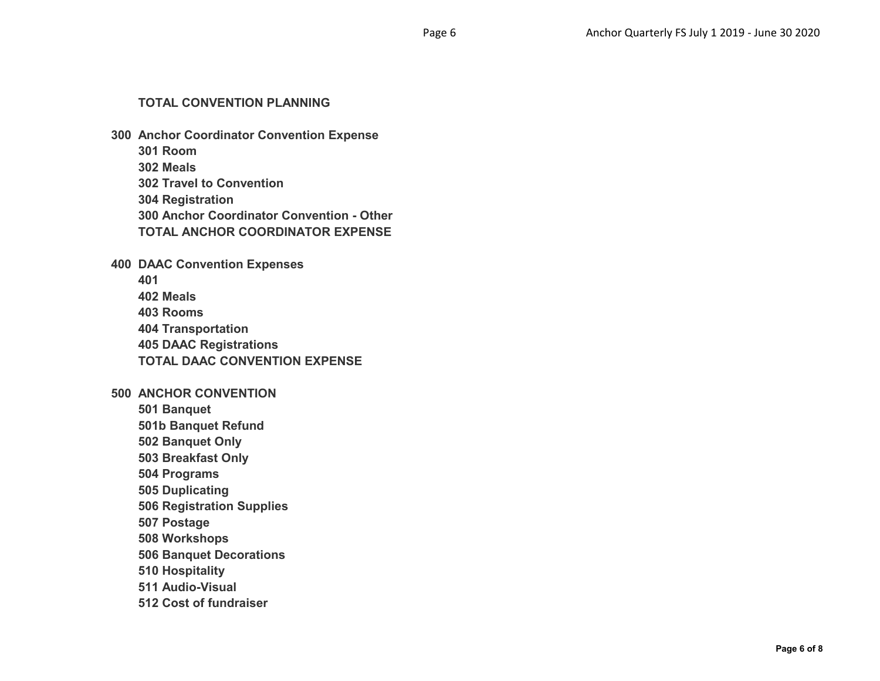#### **TOTAL CONVENTION PLANNING**

- **300 Anchor Coordinator Convention Expense**
	- **301 Room**
	- **302 Meals**
	- **302 Travel to Convention**
	- **304 Registration**
	- **300 Anchor Coordinator Convention Other**
	- **TOTAL ANCHOR COORDINATOR EXPENSE**

**400 DAAC Convention Expenses**

- **401**
- **402 Meals**
- **403 Rooms**
- **404 Transportation**
- **405 DAAC Registrations**
- **TOTAL DAAC CONVENTION EXPENSE**

## **500 ANCHOR CONVENTION**

- **501 Banquet**
- **501b Banquet Refund**
- **502 Banquet Only**
- **503 Breakfast Only**
- **504 Programs**
- **505 Duplicating**
- **506 Registration Supplies**
- **507 Postage**
- **508 Workshops**
- **506 Banquet Decorations**
- **510 Hospitality**
- **511 Audio-Visual**
- **512 Cost of fundraiser**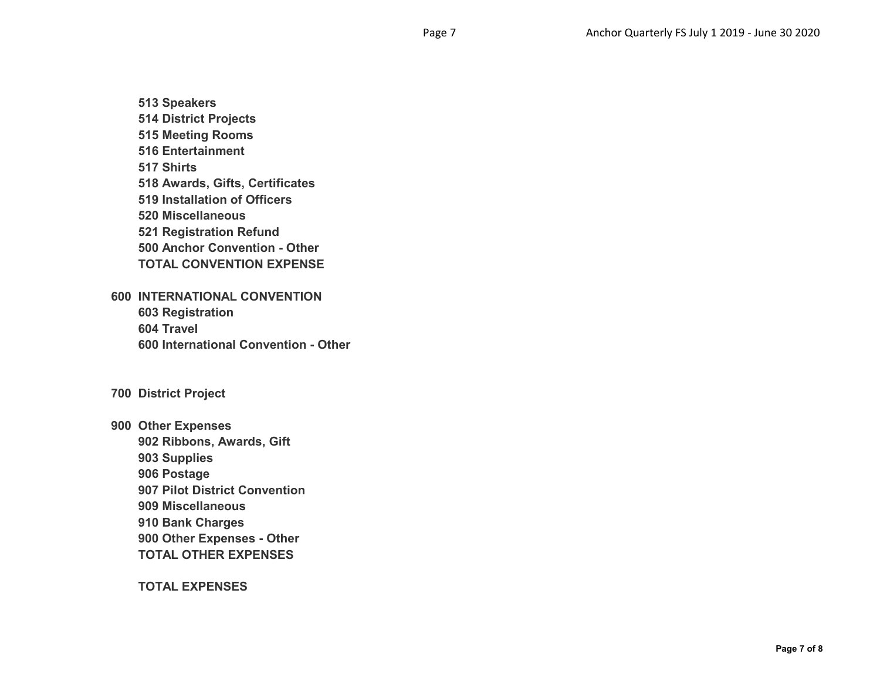**513 Speakers**

- **514 District Projects**
- **515 Meeting Rooms**
- **516 Entertainment**
- **517 Shirts**
- **518 Awards, Gifts, Certificates**
- **519 Installation of Officers**
- **520 Miscellaneous**
- **521 Registration Refund**
- **500 Anchor Convention Other**
- **TOTAL CONVENTION EXPENSE**
- **600 INTERNATIONAL CONVENTION**
	- **603 Registration 604 Travel 600 International Convention - Other**
- **700 District Project**
- **900 Other Expenses**
	- **902 Ribbons, Awards, Gift**
	- **903 Supplies**
	- **906 Postage**
	- **907 Pilot District Convention**
	- **909 Miscellaneous**
	- **910 Bank Charges**
	- **900 Other Expenses Other**
	- **TOTAL OTHER EXPENSES**
	- **TOTAL EXPENSES**